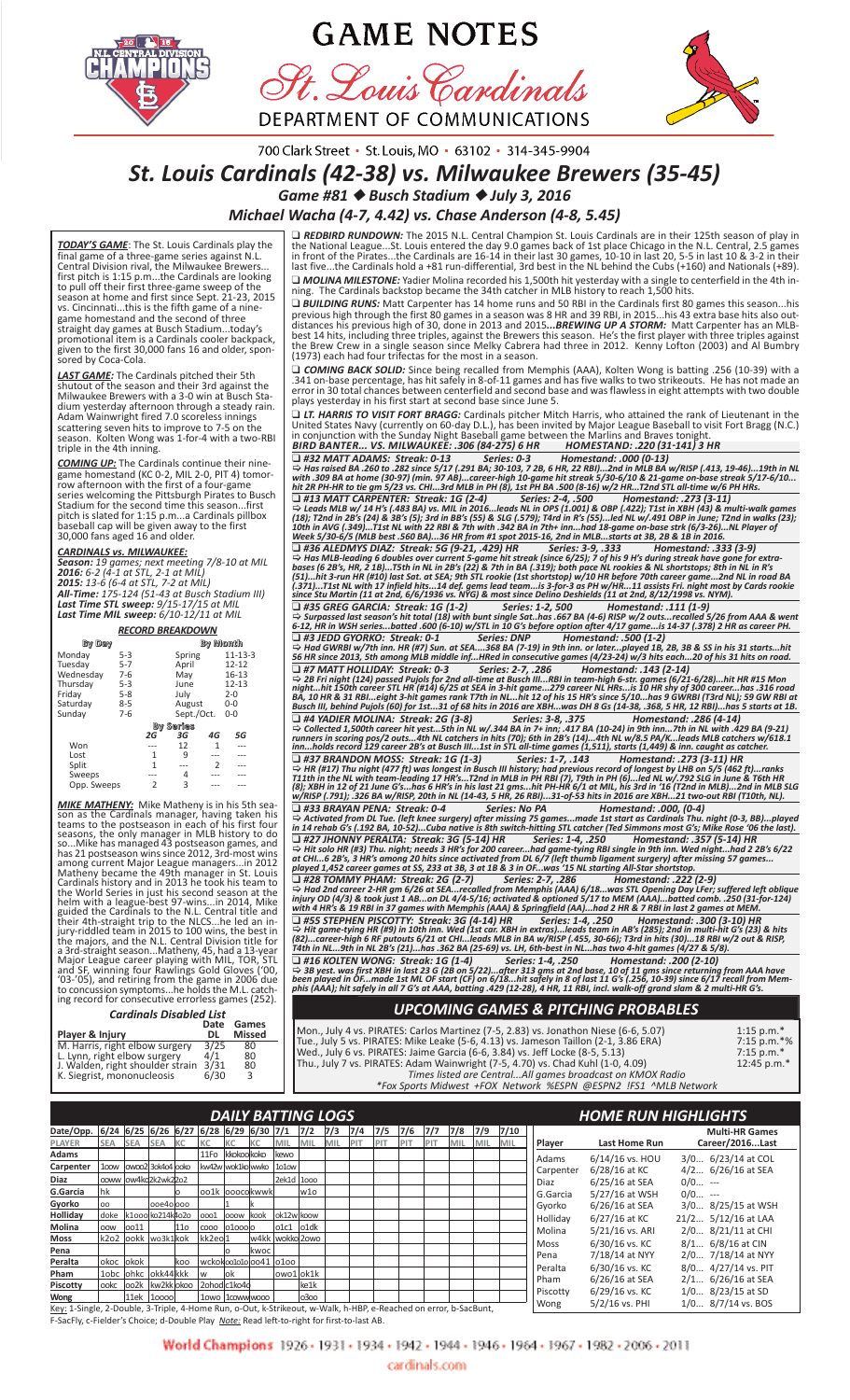

# **GAME NOTES**

St. Louis Cardinals DEPARTMENT OF COMMUNICATIONS



700 Clark Street · St. Louis, MO · 63102 · 314-345-9904

# *St. Louis Cardinals (42‐38) vs. Milwaukee Brewers (35‐45)*

*Game #81* ◆ *Busch Stadium* ◆ *July 3, 2016*

*Michael Wacha (4‐7, 4.42) vs. Chase Anderson (4‐8, 5.45)*

*TODAY'S GAME*: The St. Louis Cardinals play the final game of a three‐game series against N.L. Central Division rival, the Milwaukee Brewers... first pitch is 1:15 p.m...the Cardinals are looking<br>to pull off their first three-game sweep of the<br>season at home and first since Sept. 21-23, 2015<br>vs. Cincinnati...this is the fifth game of a nine-<br>game homestand and the straight day games at Busch Stadium...today's promotional item is a Cardinals cooler backpack, given to the first 30,000 fans 16 and older, spon‐ sored by Coca‐Cola.

**LAST GAME:** The Cardinals pitched their 5th shutout of the season and their 3rd against the Milwaukee Brewers with a 3-0 win at Busch Stadium yesterday afternoon through a steady rain. Adam Wainwright fired 7.0 scoreless

*COMING UP:* The Cardinals continue their nine‐ game homestand (KC 0‐2, MIL 2‐0, PIT 4) tomor‐ row afternoon with the first of a four‐game series welcoming the Pittsburgh Pirates to Busch Stadium for the second time this season...first pitch is slated for 1:15 p.m...a Cardinals pillbox baseball cap will be given away to the first 30,000 fans aged 16 and older.

#### *CARDINALS vs. MILWAUKEE:*

**Season:** 19 games; next meeting 7/8-10 at MIL<br>**2016:** 6-2 (4-1 at STL, 2-1 at MIL)<br>**2015:** 13-6 (6-4 at STL, 7-2 at MIL)<br>**All-Time:** 175-124 (51-43 at Busch Stadium III)<br>**Last Time STL sweep:** 9/15-17/15 at MIL<br>**Last Time** 

| <b>RECORD BREAKDOWN</b> |         |               |            |                |               |  |  |  |  |  |  |  |  |
|-------------------------|---------|---------------|------------|----------------|---------------|--|--|--|--|--|--|--|--|
| By Day                  |         |               | By Month   |                |               |  |  |  |  |  |  |  |  |
| Monday                  | $5-3$   |               | Spring     |                | $11 - 13 - 3$ |  |  |  |  |  |  |  |  |
| Tuesday                 | $5 - 7$ |               | April      |                | $12 - 12$     |  |  |  |  |  |  |  |  |
| Wednesday               | $7-6$   |               | May        |                | $16 - 13$     |  |  |  |  |  |  |  |  |
| Thursday                | $5 - 3$ |               | June       |                | $12 - 13$     |  |  |  |  |  |  |  |  |
| Friday                  | $5 - 8$ |               | July       |                | $2 - 0$       |  |  |  |  |  |  |  |  |
| Saturdav                | $8 - 5$ |               | August     |                | $0 - 0$       |  |  |  |  |  |  |  |  |
| Sundav                  | $7-6$   |               | Sept./Oct. |                | $0 - 0$       |  |  |  |  |  |  |  |  |
|                         |         |               | By Series  |                |               |  |  |  |  |  |  |  |  |
|                         |         | 2G            | ЗG         | 4G             | 5G            |  |  |  |  |  |  |  |  |
| Won                     |         |               | 12         | 1              |               |  |  |  |  |  |  |  |  |
| Lost                    |         | 1             | 9          |                |               |  |  |  |  |  |  |  |  |
| Split                   |         | 1             |            | $\overline{2}$ |               |  |  |  |  |  |  |  |  |
| Sweeps                  |         |               | 4          |                |               |  |  |  |  |  |  |  |  |
| Opp. Sweeps             |         | $\mathcal{P}$ | 3          |                |               |  |  |  |  |  |  |  |  |

**MIKE MATHENY:** Mike Matheny is in his 5th season as the Cardinals manager, having taken his seasons, the only manager in MLB history to do so...Mike has managed 43 postseason games, and has 21 postseason wins since 2012,

| <b>Cardinals Disabled List</b>   |            |                        |
|----------------------------------|------------|------------------------|
| Player & Injury                  | Date<br>DL | Games<br><b>Missed</b> |
| M. Harris, right elbow surgery   | 3/25       | 80                     |
| L. Lynn, right elbow surgery     | 4/1        | 80                     |
| J. Walden, right shoulder strain | 3/31       | 80                     |
| K. Siegrist, mononucleosis       | 6/30       | $\mathbf{R}$           |

Mon., July 4 vs. PIRATES: Carlos Martinez (7‐5, 2.83) vs. Jonathon Niese (6‐6, 5.07) 1:15 p.m.\* Tue., July 5 vs. PIRATES: Mike Leake (5‐6, 4.13) vs. Jameson Taillon (2‐1, 3.86 ERA) 7:15 p.m.\*% Wed., July 6 vs. PIRATES: Jaime Garcia (6-6, 3.84) vs. Jeff Locke (8-5, 5.13) 7:15 p.m.\* Thu., July 7 vs. PIRATES: Adam Wainwright (7‐5, 4.70) vs. Chad Kuhl (1‐0, 4.09) 12:45 p.m.\* *Times listed are Central...All games broadcast on KMOX Radio*

| $1:15$ p.m.*<br>7:15 p.m.*%<br>$7:15 p.m.*$<br>12:45 p.m.* |
|------------------------------------------------------------|
|                                                            |

|                                                                                                                  | <b>DAILY BATTING LOGS</b>                                                                                |            |                                       |            |                       |                |              |             |            |     |     |     |     |                       |     | <b>HOME RUN HIGHLIGHTS</b> |     |  |             |                      |                      |
|------------------------------------------------------------------------------------------------------------------|----------------------------------------------------------------------------------------------------------|------------|---------------------------------------|------------|-----------------------|----------------|--------------|-------------|------------|-----|-----|-----|-----|-----------------------|-----|----------------------------|-----|--|-------------|----------------------|----------------------|
| Date/Opp.                                                                                                        | $6/24$ 6/25 6/26 6/27 6/28 6/29 6/30 7/1<br>7/3<br>7/2<br>7/4<br>7/5<br>7/6<br>7/7<br>7/8<br>7/9<br>7/10 |            |                                       |            |                       |                |              |             |            |     |     |     |     | <b>Multi-HR Games</b> |     |                            |     |  |             |                      |                      |
| PLAYER                                                                                                           | <b>SEA</b>                                                                                               | <b>SEA</b> | <b>SEA</b>                            | <b>IKC</b> | KC                    |                | lКC          | MIL         | <b>MIL</b> | MIL | PIT | PIT | PIT | PIT                   | MIL | MIL                        | MIL |  | Player      | <b>Last Home Run</b> | Career/2016Last      |
| Adams                                                                                                            |                                                                                                          |            |                                       |            | 11Fo                  | kkokoo koko    |              | kewo        |            |     |     |     |     |                       |     |                            |     |  | Adams       | $6/14/16$ vs. HOU    | 3/0 6/23/14 at COL   |
| Carpenter                                                                                                        | 100 <sub>w</sub>                                                                                         |            | $\alpha$ voo2 $\beta$ 3ok4o4 $\alpha$ |            | kw42w wok1ko wwko     |                |              | 1010w       |            |     |     |     |     |                       |     |                            |     |  | Carpenter   | 6/28/16 at KC        | 4/2 6/26/16 at SEA   |
| Diaz                                                                                                             |                                                                                                          |            | ooww low4ko2k2wk22o2                  |            |                       |                |              | 2ek1d 1000  |            |     |     |     |     |                       |     |                            |     |  | Diaz        | 6/25/16 at SEA       | $0/0$ ---            |
| G.Garcia                                                                                                         | lhk                                                                                                      |            |                                       | lo         | oo1k ooocokwwk        |                |              |             | lw1o       |     |     |     |     |                       |     |                            |     |  | G.Garcia    | 5/27/16 at WSH       | $0/0$ ---            |
| Gyorko                                                                                                           | loo                                                                                                      |            | looe4olooo                            |            |                       |                |              |             |            |     |     |     |     |                       |     |                            |     |  | Gyorko      | 6/26/16 at SEA       | 3/0 8/25/15 at WSH   |
| Holliday                                                                                                         | ldoke                                                                                                    |            | k1ooo ko214k4o2o                      |            | ooo1                  | <b>OOOW</b>    | kook         | lok12wlkoow |            |     |     |     |     |                       |     |                            |     |  | Holliday    | 6/27/16 at KC        | 21/2 5/12/16 at LAA  |
| Molina                                                                                                           | <b>OOW</b>                                                                                               | 0011       |                                       | 11o        | <b>COOO</b>           | 01000 0        |              | o1c1        | oldk       |     |     |     |     |                       |     |                            |     |  | Molina      | 5/21/16 vs. ARI      | 2/0 8/21/11 at CHI   |
| Moss                                                                                                             | k2o2                                                                                                     | lookk      | wo3k1kok                              |            | kk2eo1                |                | w4kk         | wokko 20wo  |            |     |     |     |     |                       |     |                            |     |  | <b>Moss</b> | 6/30/16 vs. KC       | 8/1 6/8/16 at CIN    |
| Pena                                                                                                             |                                                                                                          |            |                                       |            |                       |                | <b>Ikwoc</b> |             |            |     |     |     |     |                       |     |                            |     |  | Pena        | 7/18/14 at NYY       | 2/0 7/18/14 at NYY   |
| Peralta                                                                                                          | okoc okok                                                                                                |            |                                       | lkoo       | wckokoo1o1oloo41 0100 |                |              |             |            |     |     |     |     |                       |     |                            |     |  | Peralta     |                      | 8/0 4/27/14 vs. PIT  |
| Pham                                                                                                             | 1obc                                                                                                     |            | ohkc okk44 kkk                        |            | W                     | lok            |              | lowo1lok1k  |            |     |     |     |     |                       |     |                            |     |  |             | 6/30/16 vs. KC       |                      |
| Piscotty                                                                                                         | ookc                                                                                                     | oo2k       | kw2kk okoo                            |            | 2ohodc1ko4o           |                |              |             | ke1k       |     |     |     |     |                       |     |                            |     |  | Pham        | 6/26/16 at SEA       | $2/1$ 6/26/16 at SEA |
| Wong                                                                                                             |                                                                                                          |            | 11ek 10000                            |            |                       | 10wo 1cowwwooo |              |             | 0300       |     |     |     |     |                       |     |                            |     |  | Piscotty    | 6/29/16 vs. KC       | $1/0$ 8/23/15 at SD  |
| Key: 1-Single, 2-Double, 3-Triple, 4-Home Run, o-Out, k-Strikeout, w-Walk, h-HBP, e-Reached on error, b-SacBunt, |                                                                                                          |            |                                       |            |                       |                |              |             |            |     |     |     |     |                       |     |                            |     |  | Wong        | $5/2/16$ vs. PHI     | $1/0$ 8/7/14 vs. BOS |

F‐SacFly, c‐Fielder's Choice; d‐Double Play *Note:* Read left‐to‐right for first‐to‐last AB.

World Champions 1926 - 1931 - 1934 - 1942 - 1944 - 1946 - 1964 - 1967 - 1982 - 2006 - 2011

 $\Box$  #13 MATT CARPENTER: Streak: 1G (2-4)<br>  $\Box$  #13 MATT CARPENTER: Streak: 1G (2-4)<br>  $\div$  Leads MLB w/ 14 H's (483 BA) vs. MIL in 2016...leads NL in 0PS (1.001) & OBP (.422); T1st in XBH (43) & multi-walk games<br>
(18); T → Had GWRBI w/7th inn. HR (#7) Sun. at SEA....368 BA (7-19) in 9th inn. or later...played 1B, 2B, 3B & SS in his 31 starts...hit<br>56 HR since 2013, 5th among MLB middle inf...HRed in consecutive games (4/23-24) w/3 hits e

❑ *#4 YADIER MOLINA: Streak: 2G (3‐8) Series: 3‐8, .375 Homestand: .286 (4‐14)* [ *Collected 1,500th career hit yest...5th in NL w/.344 BA in 7+ inn; .417 BA (10‐24) in 9th inn...7th in NL with .429 BA (9‐21) runners in scoring pos/2 outs...4th NL catchers in hits (70); 6th in 2B's (14)...4th NL w/8.5 PA/K...leads MLB catchers w/618.1 inn...holds record 129 career 2B's at Busch III...1st in STL all‐time games (1,511), starts (1,449) & inn. caught as catcher.*

□ *REDBIRD RUNDOWN:* The 2015 N.L. Central Champion St. Louis Cardinals are in their 125th season of play in<br>the National League…St. Louis entered the day 9.0 games back of 1st place Chicago in the N.L. Central, 2.5 game

❑ *MOLINA MILESTONE:* Yadier Molina recorded his 1,500th hit yesterday with a single to centerfield in the 4th in‐ ning.  The Cardinals backstop became the 34th catcher in MLB history to reach 1,500 hits. ❑ *BUILDING RUNS:* Matt Carpenter has 14 home runs and 50 RBI in the Cardinals first 80 games this season...his

previous high through the first 80 games in a season was 8 HR and 39 RBI, in 2015...his 43 extra base hits also out-<br>distances his previous high of 30, done in 2013 and 2015...BREWING UP A STORM: Matt Carpenter has an MLB-

□ *COMING BACK SOLID:* Since being recalled from Memphis (AAA), Kolten Wong is batting .256 (10-39) with a<br>.341 on-base percentage, has hit safely in 8-of-11 games and has five walks to two strikeouts. He has not made an<br>

□ LT. HARRIS TO VISIT FORT BRAGG: Cardinals pitcher Mitch Harris, who attained the rank of Lieutenant in the<br>United States Navy (currently on 60-day D.L.), has been invited by Major League Baseball to visit Fort Bragg (N.

❑ *#32 MATT ADAMS: Streak: 0‐13 Series: 0‐3 Homestand: .000 (0‐13)* [ *Has raised BA .260 to .282 since 5/17 (.291 BA; 30‐103, 7 2B, 6 HR, 22 RBI)...2nd in MLB BA w/RISP (.413, 19‐46)...19th in NL with .309 BA at home (30‐97) (min. 97 AB)...career‐high 10‐game hit streak 5/30‐6/10 & 21‐game on‐base streak 5/17‐6/10... hit 2R PH‐HR to tie gm 5/23 vs. CHI...3rd MLB in PH (8), 1st PH BA .500 (8‐16) w/2 HR...T2nd STL all‐time w/6 PH HRs.*

■ #37 BRANDON MOSS: Streak: 1G (1-3) Series: 1-7, .143 Homestand: .273 (3-11) HR<br>
⇒ HR (#17) Thu night (477 ft) was longest in Busch III history; had previous record of longest by LHB on 5/5 (462 ft)...ranks<br>
T1th in th

⇒ Activated from DL Tue. (left knee surgery) after missing 75 games...made 1st start as Cardinals Thu. night (0-3, BB)...played<br>in 14 rehab G's (.192 BA, 10-52)...Cuba native is 8th switch-hitting STL catcher (Ted Simmons

❑ *#28 TOMMY PHAM: Streak: 2G (2‐7) Series: 2‐7, .286 Homestand: .222 (2‐9)*  [ *Had 2nd career 2‐HR gm 6/26 at SEA...recalled from Memphis (AAA) 6/18...was STL Opening Day LFer; suffered left oblique injury OD (4/3) & took just 1 AB...on DL 4/4‐5/16; activated & optioned 5/17 to MEM (AAA)...batted comb. .250 (31‐for‐124) with 4 HR's & 19 RBI in 37 games with Memphis (AAA) & Springfield (AA)...had 2 HR & 7 RBI in last 2 games at MEM.* ❑ *#55 STEPHEN PISCOTTY: Streak: 3G (4‐14) HR Series: 1‐4, .250 Homestand: .300 (3‐10) HR* [ *Hit game‐tying HR (#9) in 10th inn. Wed (1st car. XBH in extras)...leads team in AB's (285); 2nd in multi‐hit G's (23) & hits (82)...career‐high 6 RF putouts 6/21 at CHI...leads MLB in BA w/RISP (.455, 30‐66); T3rd in hits (30)...18 RBI w/2 out & RISP, T4th in NL...9th in NL 2B's (21)...has .362 BA (25‐69) vs. LH, 6th‐best in NL...has two 4‐hit games (4/27 & 5/8).* ❑ *#16 KOLTEN WONG: Streak: 1G (1‐4) Series: 1‐4, .250 Homestand: .200 (2‐10)* [ *3B yest. was first XBH in last 23 G (2B on 5/22)...after 313 gms at 2nd base, 10 of 11 gms since returning from AAA have*

been played in OF…made 1st ML OF start (CF) on 6/18…hit safely in 8 of last 11 G's (.256, 10-39) since 6/17 recall from Mem-<br>phis (AAA); hit safely in all 7 G's at AAA, batting .429 (12-28), 4 HR, 11 RBI, incl. walk-off gr

# *UPCOMING GAMES & PITCHING PROBABLES*

*\*Fox Sports Midwest +FOX  Network %ESPN @ESPN2 !FS1 ^MLB Network*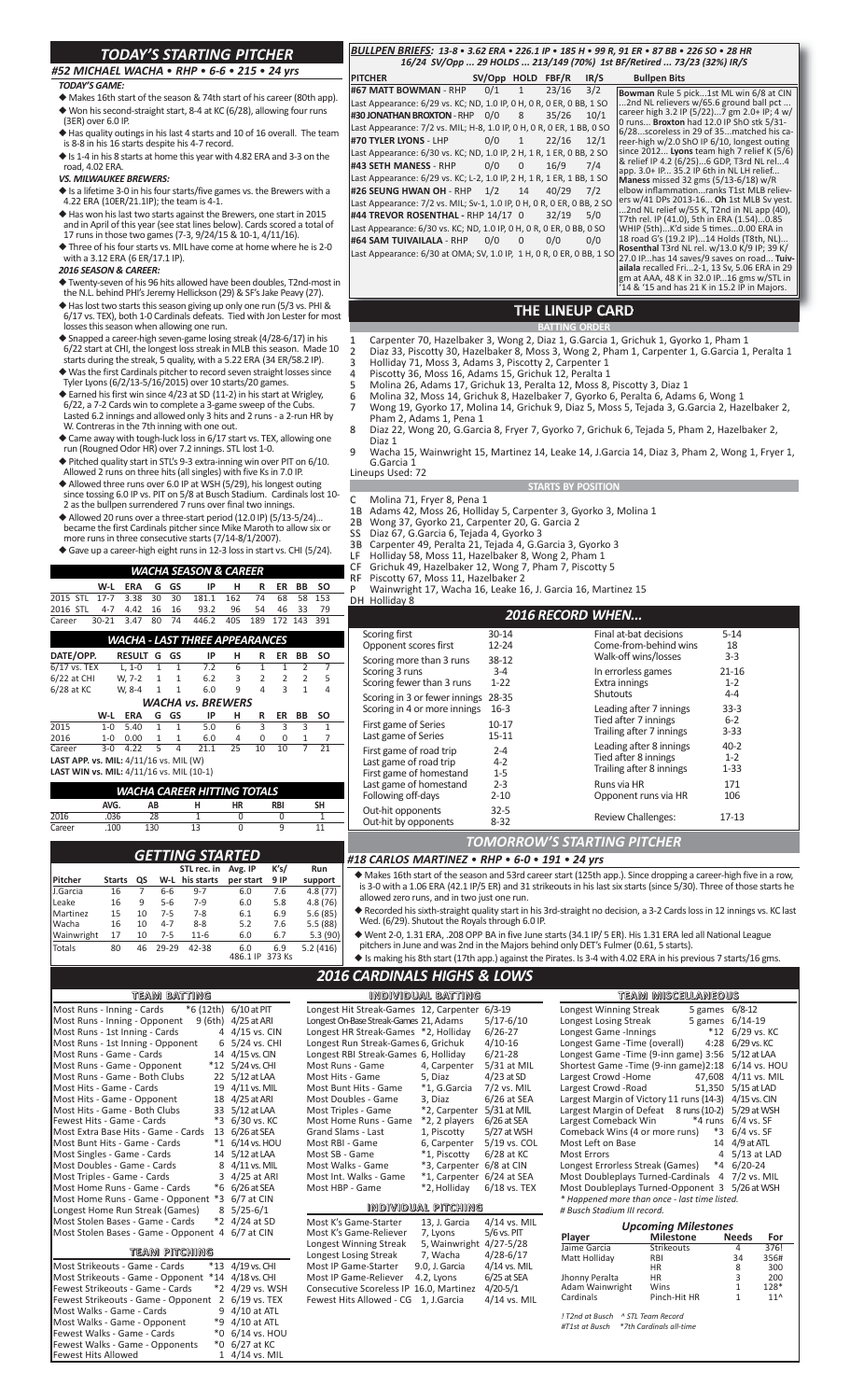## *TODAY'S STARTING PITCHER*

## *#52 MICHAEL WACHA* • *RHP* • *6‐6* • *215* • *24 yrs*

#### *TODAY'S GAME:*

- ◆ Makes 16th start of the season & 74th start of his career (80th app). ◆ Won his second-straight start, 8-4 at KC (6/28), allowing four run (3ER) over 6.0 IP.
- ◆ Has quality outings in his last 4 starts and 10 of 16 overall. The team is 8‐8 in his 16 starts despite his 4‐7 record.
- ◆ Is 1‐4 in his 8 starts at home this year with 4.82 ERA and 3‐3 on the road, 4.02 ERA.

*VS. MILWAUKEE BREWERS:*

- ◆ Is a lifetime 3‐0 in his four starts/five games vs. the Brewers with a 4.22 ERA (10ER/21.1IP); the team is 4‐1.
- $\blacklozenge$  Has won his last two starts against the Brewers, one start in 2015 and in April of this year (see stat lines below). Cards scored a total of
- 17 runs in those two games (7‐3, 9/24/15 & 10‐1, 4/11/16). ◆ Three of his four starts vs. MIL have come at home where he is 2‐0 with a 3.12 ERA (6 ER/17.1 IP).

### *2016 SEASON & CAREER:*

- ◆ Twenty‐seven of his 96 hits allowed have been doubles, T2nd‐most in the N.L. behind PHI's Jeremy Hellickson (29) & SF's Jake Peavy (27).
- ◆ Has lost two starts this season giving up only one run (5/3 vs. PHI & 6/17 vs. TEX), both 1‐0 Cardinals defeats. Tied with Jon Lester for most losses this season when allowing one run.
- ◆ Snapped a career‐high seven‐game losing streak (4/28‐6/17) in his 6/22 start at CHI, the longest loss streak in MLB this season. Made 10 starts during the streak, 5 quality, with a 5.22 ERA (34 ER/58.2 IP).
- 
- ◆ Was the first Cardinals pitcher to record seven straight losses since Tyler Lyons (6/2/13‐5/16/2015) over 10 starts/20 games.
- ◆ Earned his first win since 4/23 at SD (11‐2) in his start at Wrigley, 6/22, a 7‐2 Cards win to complete a 3‐game sweep of the Cubs. Lasted 6.2 innings and allowed only 3 hits and 2 runs ‐ a 2‐run HR by W. Contreras in the 7th inning with one out.
- ◆ Came away with tough‐luck loss in 6/17 start vs. TEX, allowing one run (Rougned Odor HR) over 7.2 innings. STL lost 1‐0.
- ◆ Pitched quality start in STL's 9-3 extra-inning win over PIT on 6/10.<br>Allowed 2 runs on three hits (all singles) with five Ks in 7.0 IP.
- 
- ◆ Allowed three runs over 6.0 IP at WSH (5/29), his longest outing<br>since tossing 6.0 IP vs. PIT on 5/8 at Busch Stadium. Cardinals lost 10-<br>2 as the bullpen surrendered 7 runs over final two innings.
- ◆ Allowed 20 runs over a three‐start period (12.0 IP) (5/13‐5/24)… became the first Cardinals pitcher since Mike Maroth to allow six or more runs in three consecutive starts (7/14‐8/1/2007).
- ◆ Gave up a career-high eight runs in 12-3 loss in start vs. CHI (5/24).

#### *WACHA SEASON & CAREER*

|                                               | . .<br>------ |               |              |              |                          |     |                |                |                |              |  |  |  |  |
|-----------------------------------------------|---------------|---------------|--------------|--------------|--------------------------|-----|----------------|----------------|----------------|--------------|--|--|--|--|
|                                               | W-L           | <b>ERA</b>    | G            | GS           | IP                       | н   | R              | ER             | BB             | <b>SO</b>    |  |  |  |  |
| 2015 STL                                      | $17 - 7$      | 3.38          | 30           | 30           | 181.1                    | 162 | 74             | 68             | 58             | 153          |  |  |  |  |
| 2016 STL                                      | 4-7           | 4.42          | 16           | 16           | 93.2                     | 96  | 54             | 46             | 33             | 79           |  |  |  |  |
| Career                                        | $30 - 21$     | 3.47          | 80           | 74           | 446.2                    | 405 | 189            | 172            | 143            | 391          |  |  |  |  |
| WACHA - LAST THREE APPEARANCES                |               |               |              |              |                          |     |                |                |                |              |  |  |  |  |
| DATE/OPP.                                     |               | <b>RESULT</b> | G            | GS           | IP                       | н   | R              | ER             | BB             | SΟ           |  |  |  |  |
| 6/17 vs. TEX                                  |               | $L. 1-0$      | $\mathbf{1}$ | $\mathbf{1}$ | 7.2                      | 6   | $\mathbf{1}$   | $\mathbf{1}$   | $\overline{2}$ | 7            |  |  |  |  |
| 6/22 at CHI                                   |               | W, 7-2        | 1            | $\mathbf{1}$ | 6.2                      | 3   | $\overline{2}$ | $\overline{2}$ | $\mathfrak{p}$ | 5            |  |  |  |  |
| 6/28 at KC                                    |               | W. 8-4        | $\mathbf{1}$ | 1            | 6.0                      | 9   | 4              | 3              | 1              | 4            |  |  |  |  |
|                                               |               |               |              |              | <b>WACHA vs. BREWERS</b> |     |                |                |                |              |  |  |  |  |
|                                               | W-L           | ERA           | G            | GS           | IP                       | н   | R              | ER             | BB             | <b>SO</b>    |  |  |  |  |
| 2015                                          | $1 - 0$       | 5.40          | 1            | 1            | 5.0                      | 6   | 3              | 3              | 3              | $\mathbf{1}$ |  |  |  |  |
| 2016                                          | $1 - 0$       | 0.00          | 1            | 1            | 6.0                      | 4   | 0              | 0              | 1              | 7            |  |  |  |  |
| Career                                        | $3-0$         | 4.22          | 5            | 4            | 21.1                     | 25  | 10             | 10             | 7              | 21           |  |  |  |  |
| <b>LAST APP. vs. MIL: 4/11/16 vs. MIL (W)</b> |               |               |              |              |                          |     |                |                |                |              |  |  |  |  |

**LAST WIN vs. MIL:** 4/11/16 vs. MIL (10‐1)

| WACHA CAREER HITTING TOTALS |      |     |    |           |            |    |  |  |  |  |  |  |  |
|-----------------------------|------|-----|----|-----------|------------|----|--|--|--|--|--|--|--|
|                             | AVG. | AB  |    | <b>HR</b> | <b>RBI</b> | SΗ |  |  |  |  |  |  |  |
| 2016                        | 036  | 28  |    |           |            |    |  |  |  |  |  |  |  |
| Career                      | 100  | 130 | 13 |           |            |    |  |  |  |  |  |  |  |

### *GETTING STARTED*

|                |               |    |         | STL rec. in | Avg. IP         | K's/          | Run      |
|----------------|---------------|----|---------|-------------|-----------------|---------------|----------|
| <b>Pitcher</b> | <b>Starts</b> | QS | W-L     | his starts  | per start       | 9 IP          | support  |
| J.Garcia       | 16            | 7  | 6-6     | $9 - 7$     | 6.0             | 7.6           | 4.8(77)  |
| Leake          | 16            | 9  | $5-6$   | $7-9$       | 6.0             | 5.8           | 4.8(76)  |
| Martinez       | 15            | 10 | $7 - 5$ | $7-8$       | 6.1             | 6.9           | 5.6(85)  |
| <b>Wacha</b>   | 16            | 10 | $4 - 7$ | $8 - 8$     | 5.2             | 7.6           | 5.5(88)  |
| Wainwright     | 17            | 10 | $7 - 5$ | $11-6$      | 6.0             | 6.7           | 5.3(90)  |
| Totals         | 80            | 46 | 29-29   | 42-38       | 6.0<br>486.1 IP | 6.9<br>373 Ks | 5.2(416) |

| team batting                              |                |  |  |  |  |  |  |  |  |  |  |  |
|-------------------------------------------|----------------|--|--|--|--|--|--|--|--|--|--|--|
| Most Runs - Inning - Cards<br>*6 (12th)   | $6/10$ at PIT  |  |  |  |  |  |  |  |  |  |  |  |
| 9 (6th)<br>Most Runs - Inning - Opponent  | 4/25 at ARI    |  |  |  |  |  |  |  |  |  |  |  |
| Most Runs - 1st Inning - Cards<br>4       | 4/15 vs. CIN   |  |  |  |  |  |  |  |  |  |  |  |
| Most Runs - 1st Inning - Opponent<br>6    | 5/24 vs. CHI   |  |  |  |  |  |  |  |  |  |  |  |
| Most Runs - Game - Cards<br>14            | 4/15 vs. CIN   |  |  |  |  |  |  |  |  |  |  |  |
| $*12$<br>Most Runs - Game - Opponent      | 5/24 vs. CHI   |  |  |  |  |  |  |  |  |  |  |  |
| Most Runs - Game - Both Clubs<br>22       | 5/12 at LAA    |  |  |  |  |  |  |  |  |  |  |  |
| Most Hits - Game - Cards<br>19            | $4/11$ vs. MIL |  |  |  |  |  |  |  |  |  |  |  |
| Most Hits - Game - Opponent<br>18         | 4/25 at ARI    |  |  |  |  |  |  |  |  |  |  |  |
| Most Hits - Game - Both Clubs<br>33       | 5/12 at LAA    |  |  |  |  |  |  |  |  |  |  |  |
| *3<br>Fewest Hits - Game - Cards          | 6/30 vs. KC    |  |  |  |  |  |  |  |  |  |  |  |
| Most Extra Base Hits - Game - Cards<br>13 | 6/26 at SEA    |  |  |  |  |  |  |  |  |  |  |  |
| $*_{1}$<br>Most Bunt Hits - Game - Cards  | $6/14$ vs. HOU |  |  |  |  |  |  |  |  |  |  |  |
| Most Singles - Game - Cards<br>14         | $5/12$ at LAA  |  |  |  |  |  |  |  |  |  |  |  |
| Most Doubles - Game - Cards<br>8          | 4/11 vs. MIL   |  |  |  |  |  |  |  |  |  |  |  |
| 3<br>Most Triples - Game - Cards          | 4/25 at ARI    |  |  |  |  |  |  |  |  |  |  |  |
| Most Home Runs - Game - Cards<br>*6       | $6/26$ at SEA  |  |  |  |  |  |  |  |  |  |  |  |
| *3<br>Most Home Runs - Game - Opponent    | 6/7 at CIN     |  |  |  |  |  |  |  |  |  |  |  |
| Longest Home Run Streak (Games)<br>8      | $5/25 - 6/1$   |  |  |  |  |  |  |  |  |  |  |  |
| Most Stolen Bases - Game - Cards<br>*2    | 4/24 at SD     |  |  |  |  |  |  |  |  |  |  |  |
| Most Stolen Bases - Game - Opponent 4     | 6/7 at CIN     |  |  |  |  |  |  |  |  |  |  |  |
| team pitching                             |                |  |  |  |  |  |  |  |  |  |  |  |

| ieawi pitching                                     |                  |
|----------------------------------------------------|------------------|
| Most Strikeouts - Game - Cards                     | *13 4/19 vs. CHI |
| Most Strikeouts - Game - Opponent *14 4/18 vs. CHI |                  |
| Fewest Strikeouts - Game - Cards                   | *2 4/29 vs. WSH  |
| Fewest Strikeouts - Game - Opponent                | 2 6/19 vs. TEX   |
| Most Walks - Game - Cards                          | 9 4/10 at ATL    |
| Most Walks - Game - Opponent                       | *9 4/10 at ATL   |
| Fewest Walks - Game - Cards                        | *0 6/14 vs. HOU  |
| Fewest Walks - Game - Opponents                    | *0 6/27 at KC    |
| <b>Fewest Hits Allowed</b>                         | 1 4/14 vs. MIL   |
|                                                    |                  |

#### *BULLPEN BRIEFS: 13‐8* • *3.62 ERA* • *226.1 IP* • *185 H* • *99 R, 91 ER* • *87 BB* • *226 SO* • *28 HR 16/24 SV/Opp ... 29 HOLDS ... 213/149 (70%) 1st BF/Retired ... 73/23 (32%) IR/S*

**PITCHER SV/Opp HOLD FBF/R IR/S Bullpen Bits**<br>#67 MATT BOWMAN - RHP 0/1 1 23/16 3/2 Bowman Puls 5. **#67 MATT BOWMAN** ‐ RHP 0/1 1 23/16 3/2 Last Appearance: 6/29 vs. KC; ND, 1.0 IP, 0 H, 0 R, 0 ER, 0 BB, 1 SO<br>**#30 JONATHAN BROXTON** - RHP 0/0 8 35/26 10/1 #30 JONATHAN BROXTON - RHP 0/0 Last Appearance: 7/2 vs. MIL; H-8, 1.0 IP, 0 H, 0 R, 0 ER, 1 BB, 0 SO<br>**#70 TYLER LYONS** - LHP 0/0 1 22/16 12/1 **#70 TYLER LYONS - LHP** Last Appearance: 6/30 vs. KC; ND, 1.0 IP, 2 H, 1 R, 1 ER, 0 BB, 2 SO **#43 SETH MANESS** ‐ RHP 0/0 0 16/9 7/4 Last Appearance: 6/29 vs. KC; L-2, 1.0 IP, 2 H, 1 R, 1 ER, 1 BB, 1 SO<br>**#26 SEUNG HWAN OH** - RHP 1/2 14 40/29 7/2 **#26 SEUNG HWAN OH - RHP** 1/2 Last Appearance: 7/2 vs. MIL; Sv-1, 1.0 IP, 0 H, 0 R, 0 ER, 0 BB, 2 SO<br>#44 TREVOR ROSENTHAL - RHP 14/17 0 32/19 5/0 **#44 TREVOR ROSENTHAL - RHP 14/17 0** Last Appearance: 6/30 vs. KC; ND, 1.0 IP, 0 H, 0 R, 0 ER, 0 BB, 0 SO **#64 SAM TUIVAILALA** ‐ RHP 0/0 0 0/0 0/0 Last Appearance: 6/30 at OMA; SV, 1.0 IP, 1 H, 0 R, 0 ER, 0 BB, 1 SO

**Bowman** Rule 5 pick...1st ML win 6/8 at CIN<br>...2nd NL relievers w/65.6 ground ball pct ...<br>career high 3.2 IP (5/22)...7 gm 2.0+ IP; 4 w/<br>0 runs... **Broxton** had 12.0 IP ShO stk 5/31-<br>6/28...scoreless in 29 of 35...matche & relief IP 4.2 (6/25)...6 GDP, T3rd NL rel...4<br>app. 3.0+ IP... 35.2 IP 6th in NL LH relief...<br>**Maness** missed 32 gms (5/13-6/18) w/R<br>elbow inflammation...ranks T1st MLB reliev-<br>ers w/41 DPs 2013-16... **Oh** 1st MLB Sv yest **Rosenthal** T3rd NL rel. w/13.0 K/9 IP; 39 K/ 27.0 IP...has 14 saves/9 saves on road... **Tuiv‐ ailala** recalled Fri...2‐1, 13 Sv, 5.06 ERA in 29 gm at AAA, 48 K in 32.0 IP...16 gms w/STL in '14 & '15 and has 21 K in 15.2 IP in Majors.

## **BATTING ORDER THE LINEUP CARD**

- 1 Carpenter 70, Hazelbaker 3, Wong 2, Diaz 1, G.Garcia 1, Grichuk 1, Gyorko 1, Pham 1
- 2 Diaz 33, Piscotty 30, Hazelbaker 8, Moss 3, Wong 2, Pham 1, Carpenter 1, G.Garcia 1, Peralta 1 3 Holliday 71, Moss 3, Adams 3, Piscotty 2, Carpenter 1
- 4 Piscotty 36, Moss 16, Adams 15, Grichuk 12, Peralta 1
- 5 Molina 26, Adams 17, Grichuk 13, Peralta 12, Moss 8, Piscotty 3, Diaz 1
- 6 Molina 32, Moss 14, Grichuk 8, Hazelbaker 7, Gyorko 6, Peralta 6, Adams 6, Wong 1
- 7 Wong 19, Gyorko 17, Molina 14, Grichuk 9, Diaz 5, Moss 5, Tejada 3, G.Garcia 2, Hazelbaker 2, Pham 2, Adams 1, Pena 1 8 Diaz 22, Wong 20, G.Garcia 8, Fryer 7, Gyorko 7, Grichuk 6, Tejada 5, Pham 2, Hazelbaker 2,
- Diaz 1<br>:۹ Wach 9 Wacha 15, Wainwright 15, Martinez 14, Leake 14, J.Garcia 14, Diaz 3, Pham 2, Wong 1, Fryer 1, G.Garcia 1

Lineups Used: 72

#### **STARTS
BY** POSITION

- C Molina 71, Fryer 8, Pena 1 1B Adams 42, Moss 26, Holliday 5, Carpenter 3, Gyorko 3, Molina 1
- 2B Wong 37, Gyorko 21, Carpenter 20, G. Garcia 2
- 
- SS Diaz 67, G.Garcia 6, Tejada 4, Gyorko 3
- 3B Carpenter 49, Peralta 21, Tejada 4, G.Garcia 3, Gyorko 3
- LF Holliday 58, Moss 11, Hazelbaker 8, Wong 2, Pham 1
- CF Grichuk 49, Hazelbaker 12, Wong 7, Pham 7, Piscotty 5
- RF Piscotty 67, Moss 11, Hazelbaker 2 P Wainwright 17, Wacha 16, Leake 16, J. Garcia 16, Martinez 15

.<br>DH Holliday 8

| <b>2016 RECORD WHEN</b>                   |                      |                           |           |  |  |  |  |  |  |  |  |  |  |
|-------------------------------------------|----------------------|---------------------------|-----------|--|--|--|--|--|--|--|--|--|--|
| Scoring first                             | $30 - 14$            | Final at-bat decisions    | $5 - 14$  |  |  |  |  |  |  |  |  |  |  |
| Opponent scores first                     | $12 - 24$            | Come-from-behind wins     | 18        |  |  |  |  |  |  |  |  |  |  |
| Scoring more than 3 runs                  | 38-12                | Walk-off wins/losses      | $3-3$     |  |  |  |  |  |  |  |  |  |  |
| Scoring 3 runs                            | $3 - 4$              | In errorless games        | $21 - 16$ |  |  |  |  |  |  |  |  |  |  |
| Scoring fewer than 3 runs                 | $1 - 22$             | Extra innings             | $1 - 2$   |  |  |  |  |  |  |  |  |  |  |
| Scoring in 3 or fewer innings             | 28-35                | <b>Shutouts</b>           | $4 - 4$   |  |  |  |  |  |  |  |  |  |  |
| Scoring in 4 or more innings              | $16-3$               | Leading after 7 innings   | $33-3$    |  |  |  |  |  |  |  |  |  |  |
| First game of Series                      | $10 - 17$            | Tied after 7 innings      | $6 - 2$   |  |  |  |  |  |  |  |  |  |  |
| Last game of Series                       | 15-11                | Trailing after 7 innings  | 3-33      |  |  |  |  |  |  |  |  |  |  |
| First game of road trip                   | $2 - 4$              | Leading after 8 innings   | $40 - 2$  |  |  |  |  |  |  |  |  |  |  |
| Last game of road trip                    | $4 - 2$              | Tied after 8 innings      | $1 - 2$   |  |  |  |  |  |  |  |  |  |  |
| First game of homestand                   | $1 - 5$              | Trailing after 8 innings  | 1-33      |  |  |  |  |  |  |  |  |  |  |
| Last game of homestand                    | $2 - 3$              | Runs via HR               | 171       |  |  |  |  |  |  |  |  |  |  |
| Following off-days                        | $2 - 10$             | Opponent runs via HR      | 106       |  |  |  |  |  |  |  |  |  |  |
| Out-hit opponents<br>Out-hit by opponents | $32 - 5$<br>$8 - 32$ | <b>Review Challenges:</b> |           |  |  |  |  |  |  |  |  |  |  |

*TOMORROW'S STARTING PITCHER*

*#18 CARLOS MARTINEZ*• *RHP* • *6‐0* • *191* • *24 yrs*

◆ Makes 16th start of the season and 53rd career start (125th app.). Since dropping a career-high five in a row, is 3‐0 with a 1.06 ERA (42.1 IP/5 ER) and 31 strikeouts in his last six starts (since 5/30). Three of those starts he allowed zero runs, and in two just one run.

◆ Recorded his sixth‐straight quality start in his 3rd‐straight no decision, a 3‐2 Cards loss in 12 innings vs. KC last Wed. (6/29). Shutout the Royals through 6.0 IP.

◆ Went 2-0, 1.31 ERA, .208 OPP BA in five June starts (34.1 IP/ 5 ER). His 1.31 ERA led all National League

pitchers in June and was 2nd in the Majors behind only DET's Fulmer (0.61, 5 starts).

◆ Is making his 8th start (17th app.) against the Pirates. Is 3‐4 with 4.02 ERA in his previous 7 starts/16 gms.

# *2016 CARDINALS HIGHS & LOWS*

|                |                                               | individual batting        |                | team miscellaneous                              |                            |                              |                |  |  |  |
|----------------|-----------------------------------------------|---------------------------|----------------|-------------------------------------------------|----------------------------|------------------------------|----------------|--|--|--|
| $6/10$ at PIT  | Longest Hit Streak-Games 12, Carpenter 6/3-19 |                           |                | Longest Winning Streak                          |                            | 5 games 6/8-12               |                |  |  |  |
| 4/25 at ARI    | Longest On-Base Streak-Games 21, Adams        |                           | $5/17 - 6/10$  | Longest Losing Streak                           |                            | 5 games 6/14-19              |                |  |  |  |
| $4/15$ vs. CIN | Longest HR Streak-Games *2. Holliday          |                           | $6/26-27$      | Longest Game - Innings                          | $*12$                      | 6/29 vs. KC                  |                |  |  |  |
| 5/24 vs. CHI   | Longest Run Streak-Games 6, Grichuk           |                           | $4/10-16$      | Longest Game - Time (overall)                   | 4:28                       | 6/29 vs. KC                  |                |  |  |  |
| 4/15 vs. CIN   | Longest RBI Streak-Games 6, Holliday          |                           | $6/21-28$      | Longest Game - Time (9-inn game) 3:56           |                            | $5/12$ at LAA                |                |  |  |  |
| 5/24 vs. CHI   | Most Runs - Game                              | 4. Carpenter              | 5/31 at MIL    | Shortest Game - Time (9-inn game) 2:18          |                            |                              | $6/14$ vs. HOU |  |  |  |
| $5/12$ at LAA  | Most Hits - Game                              | 5, Diaz                   | $4/23$ at SD   | Largest Crowd -Home                             | 47.608                     | $4/11$ vs. MIL               |                |  |  |  |
| $4/11$ vs. MIL | Most Bunt Hits - Game                         | *1, G.Garcia              | $7/2$ vs. MIL  | Largest Crowd -Road                             | 51.350                     | $5/15$ at LAD                |                |  |  |  |
| 4/25 at ARI    | Most Doubles - Game                           | 3, Diaz                   | 6/26 at SEA    | Largest Margin of Victory 11 runs (14-3)        |                            | $4/15$ vs. CIN               |                |  |  |  |
| 5/12 at LAA    | Most Triples - Game                           | *2. Carpenter             | 5/31 at MIL    | Largest Margin of Defeat 8 runs (10-2)          |                            | 5/29 at WSH                  |                |  |  |  |
| 6/30 vs. KC    | Most Home Runs - Game                         | *2, 2 players             | $6/26$ at SEA  | Largest Comeback Win                            |                            | $*4$ runs 6/4 vs. SF         |                |  |  |  |
| $6/26$ at SEA  | <b>Grand Slams - Last</b>                     | 1, Piscotty               | 5/27 at WSH    | Comeback Wins (4 or more runs)                  | $*3$                       | $6/4$ vs. SF                 |                |  |  |  |
| 6/14 vs. HOU   | Most RBI - Game                               | 6, Carpenter              | 5/19 vs. COL   | Most Left on Base                               | 14                         | 4/9 at ATL                   |                |  |  |  |
| $5/12$ at LAA  | Most SB - Game                                | *1, Piscotty              | 6/28 at KC     | <b>Most Errors</b>                              | 4                          | 5/13 at LAD                  |                |  |  |  |
| 4/11 vs. MIL   | Most Walks - Game                             | *3. Carpenter 6/8 at CIN  |                | Longest Errorless Streak (Games)                | $*_{4}$                    | $6/20-24$                    |                |  |  |  |
| 4/25 at ARI    | Most Int. Walks - Game                        | *1, Carpenter 6/24 at SEA |                | Most Doubleplays Turned-Cardinals 4 7/2 vs. MIL |                            |                              |                |  |  |  |
| $6/26$ at SEA  | Most HBP - Game                               | *2. Hollidav              | 6/18 vs. TEX   | Most Doubleplays Turned-Opponent 3 5/26 at WSH  |                            |                              |                |  |  |  |
| 6/7 at CIN     |                                               |                           |                | * Happened more than once - last time listed.   |                            |                              |                |  |  |  |
| $5/25 - 6/1$   |                                               | individual pitching       |                | # Busch Stadium III record.                     |                            |                              |                |  |  |  |
| $4/24$ at SD   | Most K's Game-Starter                         | 13, J. Garcia             | $4/14$ vs. MIL |                                                 | <b>Upcoming Milestones</b> |                              |                |  |  |  |
| 6/7 at CIN     | Most K's Game-Reliever                        | 7, Lyons                  | $5/6$ vs. PIT  | <b>Player</b>                                   | <b>Milestone</b>           | <b>Needs</b>                 | For            |  |  |  |
|                | Longest Winning Streak                        | 5, Wainwright 4/27-5/28   |                | Jaime Garcia                                    | Strikeouts                 | 4                            | 376!           |  |  |  |
|                | Longest Losing Streak                         | 7. Wacha                  | $4/28 - 6/17$  | Matt Holliday                                   | <b>RBI</b>                 | 34                           | 356#           |  |  |  |
| 4/19 vs. CHI   | Most IP Game-Starter                          | 9.0, J. Garcia            | 4/14 vs. MIL   |                                                 | <b>HR</b>                  | 8                            | 300            |  |  |  |
| 4/18 vs. CHI   | <b>Most IP Game-Reliever</b>                  | 4.2, Lyons                | $6/25$ at SEA  | Jhonny Peralta                                  | <b>HR</b>                  | 3                            | 200            |  |  |  |
| 4/29 vs. WSH   | Consecutive Scoreless IP 16.0, Martinez       |                           | $4/20 - 5/1$   | Adam Wainwright<br>Cardinals                    | Wins<br>Pinch-Hit HR       | $\mathbf{1}$<br>$\mathbf{1}$ | 128*<br>$11^$  |  |  |  |
| $6/19$ vs. TEX | Fewest Hits Allowed - CG                      | 1, J.Garcia               | $4/14$ vs. MIL |                                                 |                            |                              |                |  |  |  |
| $4/10$ at ATL  |                                               |                           |                | ! T2nd at Busch                                 | A STL Team Record          |                              |                |  |  |  |
| 4/10 at ATL    |                                               |                           |                | #T1st at Busch                                  | *7th Cardinals all-time    |                              |                |  |  |  |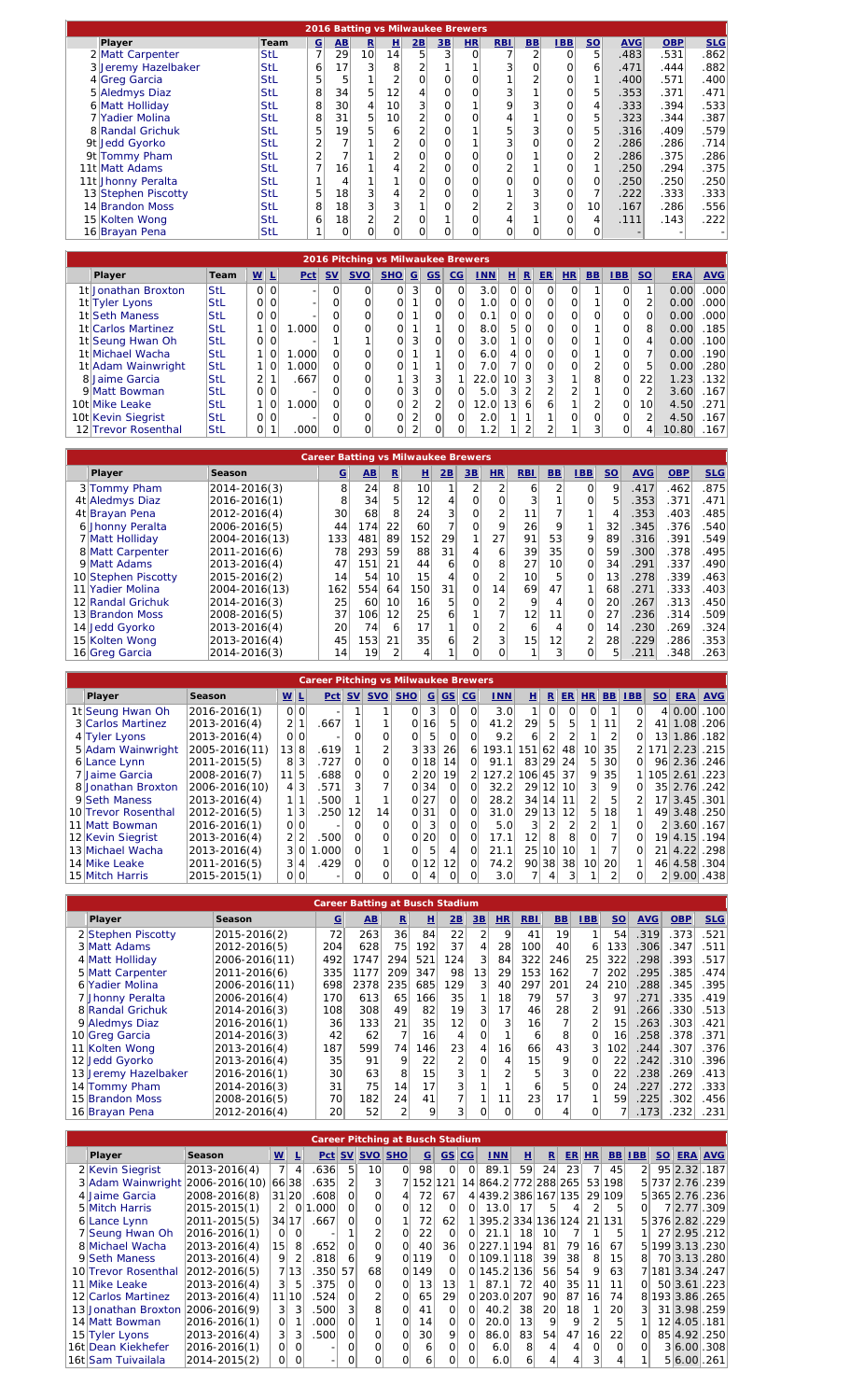|                     |            |                |                 |                 |                 |                | 2016 Batting vs Milwaukee Brewers |                |                |                |            |                 |            |            |            |
|---------------------|------------|----------------|-----------------|-----------------|-----------------|----------------|-----------------------------------|----------------|----------------|----------------|------------|-----------------|------------|------------|------------|
| Player              | Team       | $rac{G}{7}$    | AB              | $\mathbf{R}$    | 且               | 2B             | 3B                                | H <sub>R</sub> | <b>RBI</b>     | B <sub>B</sub> | <b>IBB</b> | SO <sub>2</sub> | <b>AVG</b> | <b>OBP</b> | <b>SLG</b> |
| 2 Matt Carpenter    | <b>StL</b> |                | 29              | 10 <sup>1</sup> | 14              | 5 <sub>1</sub> | $\overline{3}$                    | $\mathbf 0$    | $\overline{ }$ | $\overline{2}$ | $\Omega$   | 5               | .483       | .531       | .862       |
| 3 Jeremy Hazelbaker | StL        | 6 <sup>1</sup> | 17              | $\overline{3}$  | 8               | 2              |                                   |                | 3              | 0              | O          | 6               | .471       | .444       | .882       |
| 4 Greg Garcia       | <b>StL</b> | 5 <sup>1</sup> | 5               |                 | $\overline{2}$  | 0              |                                   | 0              |                |                | 0          | 1 <sub>1</sub>  | .400       | .571       | .400       |
| 5 Aledmys Diaz      | <b>StL</b> | 8              | 34              | 5               | 12              | 4              |                                   | 0              | 3              |                |            | 5               | .353       | .371       | .471       |
| 6 Matt Holliday     | <b>StL</b> | 8              | 30 <sup>1</sup> | $\overline{4}$  | 10              | 3              | 0                                 |                | 9              |                | O          | $\overline{4}$  | .333       | .394       | .533       |
| 7 Yadier Molina     | <b>StL</b> | 8              | 31              | 5 <sup>1</sup>  | 10 <sup>1</sup> | $\overline{2}$ |                                   | 0              | 4              |                | O          | 5               | .323       | .344       | .387       |
| 8 Randal Grichuk    | <b>StL</b> | 5              | 19              | 5               | 6               | $\overline{2}$ |                                   |                | 5              |                | 0          | 5               | .316       | .409       | .579       |
| 9t Jedd Gyorko      | <b>StL</b> | $\overline{2}$ |                 |                 | $\overline{2}$  | 0              |                                   |                | 3              |                | O          | $\overline{2}$  | .286       | .286       | .714       |
| 9t Tommy Pham       | <b>StL</b> | 2              |                 |                 | 2               | 0              |                                   | 0              | 0              |                |            | $\overline{2}$  | .286       | .375       | .286       |
| 11t Matt Adams      | <b>StL</b> | 7 <sup>1</sup> | 16              |                 |                 | 2              | 0                                 | 0              | $\overline{2}$ |                | 0          | 1 <sub>1</sub>  | .250       | .294       | .375       |
| 11t Jhonny Peralta  | <b>StL</b> | 1              | 4               |                 |                 | 0              | 0                                 | 0              | O              | Ω              | O          | 0               | .250       | .250       | .250       |
| 13 Stephen Piscotty | <b>StL</b> | 5              | 18              | 3               | $\overline{4}$  | 2              | 0                                 | 0              |                | 3              | 0          | 7               | .222       | .333       | .333       |
| 14 Brandon Moss     | <b>StL</b> | 8              | 18              | $\overline{3}$  | 3               |                |                                   | $\overline{2}$ | $\overline{2}$ | 3              | 0          | 10 <sup>1</sup> | .167       | .286       | .556       |
| 15 Kolten Wong      | <b>StL</b> | $\epsilon$     | 18              | $\overline{2}$  | $\overline{2}$  | 0              |                                   | 0              | 4              |                | O          | 4               | .111       | .143       | .222       |
| 16 Brayan Pena      | <b>StL</b> | $\mathbf{1}$   | 0               | 0l              | $\Omega$        | 0              |                                   | 0              | $\Omega$       | Ω              | 0          | 0               |            |            |            |

| 2016 Pitching vs Milwaukee Brewers |                     |            |                          |                |            |                |            |          |                |                |                  |                  |                 |                |           |           |              |          |                 |            |            |
|------------------------------------|---------------------|------------|--------------------------|----------------|------------|----------------|------------|----------|----------------|----------------|------------------|------------------|-----------------|----------------|-----------|-----------|--------------|----------|-----------------|------------|------------|
|                                    | Player              | Team       | $\underline{\mathsf{w}}$ | ⊥              | <b>Pct</b> | <b>SV</b>      | <b>SVO</b> | SHO      | $\mathbf G$    | GS             | $\underline{CG}$ | <b>INN</b>       | 비               | $\mathbf{R}$   | <b>ER</b> | <b>HR</b> | <b>BB</b>    | IBB      | SO              | <b>ERA</b> | <b>AVG</b> |
|                                    | 1t Jonathan Broxton | <b>StL</b> | $\Omega$                 | $\Omega$       |            | $\overline{0}$ | $\Omega$   | $\Omega$ | $\overline{3}$ | $\Omega$       | $\Omega$         | 3.0              | $\Omega$        | $\Omega$       | $\Omega$  | $\Omega$  |              | 0        |                 | 0.00       | .000       |
|                                    | 1t Tyler Lyons      | <b>StL</b> |                          | 0 0            |            | $\overline{O}$ | 0          | 0        |                | O              | 0                | 1.01             | $\Omega$        | $\Omega$       | $\Omega$  | O         |              |          | 2               | 0.00       | .000       |
|                                    | 1t Seth Maness      | <b>StL</b> | $\Omega$                 | $\Omega$       |            | $\overline{O}$ | $\Omega$   | 0        |                | O              | 0                | 0.1              | $\Omega$        | $\Omega$       | $\Omega$  | O         |              | O        | $\Omega$        | 0.00       | .000       |
|                                    | 1t Carlos Martinez  | <b>StL</b> |                          | $\overline{0}$ | 1.000      | $\Omega$       |            | 0        |                | 1              | 0                | 8.0              | 51              | $\Omega$       | $\Omega$  | O         |              | $\Omega$ | 8               | 0.00       | .185       |
|                                    | 1t Seung Hwan Oh    | <b>StL</b> | $\Omega$                 | $\Omega$       |            |                |            | $\Omega$ | $\overline{3}$ | $\Omega$       | $\Omega$         | 3.0 <sub>1</sub> |                 | $\Omega$       | $\Omega$  | $\Omega$  |              | 0        | 4               | 0.00       | .100       |
|                                    | 1t Michael Wacha    | <b>StL</b> |                          | 0              | 1.000      | $\Omega$       | 0          | 0        |                |                | 0                | 6.0              |                 | $\Omega$       | $\Omega$  | 0         |              | 0        |                 | 0.00       | .190       |
|                                    | 1t Adam Wainwright  | <b>StL</b> |                          | $\Omega$       | 1.000      | $\Omega$       | O          | 0        |                | 1              | 0                | 7.OI             |                 | $\Omega$       | $\Omega$  | O         | 2            | $\Omega$ | 5               | 0.00       | .280       |
|                                    | 8 Jaime Garcia      | <b>StL</b> |                          |                | .667       | $\overline{O}$ | 0          |          | $\overline{3}$ | 3              |                  | 22.0             | 10 <sup>1</sup> | 3              |           |           | 8            | $\Omega$ | 22              | 1.23       | .132       |
|                                    | 9 Matt Bowman       | <b>StL</b> |                          | $ 0 $ $ 0 $    |            | $\Omega$       | 0          | $\Omega$ | 3              | O              | $\Omega$         | 5.0              | $\mathcal{R}$   |                |           | $\Omega$  |              | O        | 2               | 3.60       | .167       |
|                                    | 10t Mike Leake      | <b>StL</b> |                          | $\Omega$       | 1.000      | O              | 0          |          |                | $\overline{2}$ | 0                | 12.0             | 13 <sup>1</sup> | 6              | 6         |           | າ            | O        | 10 <sup>1</sup> | 4.50       | .271       |
|                                    | 10t Kevin Siegrist  | <b>StL</b> |                          | $ 0 $ $ 0 $    |            | $\overline{O}$ | 0          | $\Omega$ | $\sim$         | O              | $\Omega$         | 2.0              |                 |                |           | $\Omega$  | $\Omega$     | O        | $\overline{2}$  | 4.50       | .167       |
|                                    | 12 Trevor Rosenthal | <b>StL</b> | $\Omega$                 |                | .000       | $\Omega$       | $\Omega$   | O        | $\sim$         | 0              | 0                | $1.2^{\dagger}$  |                 | $\overline{2}$ |           |           | $\mathbf{3}$ | 0        | 4               | 10.80      | .167       |

| <b>Career Batting vs Milwaukee Brewers</b> |               |                 |                        |                 |                 |                 |                |    |                 |                 |                |     |            |            |            |
|--------------------------------------------|---------------|-----------------|------------------------|-----------------|-----------------|-----------------|----------------|----|-----------------|-----------------|----------------|-----|------------|------------|------------|
| Player                                     | Season        | $\overline{G}$  | $\mathbf{A}\mathbf{B}$ | $\mathbf R$     | 且               | 2B              | 3B             | HR | <b>RBI</b>      | <b>BB</b>       | <b>IBB</b>     | $S$ | <b>AVG</b> | <b>OBP</b> | <b>SLG</b> |
| 3 Tommy Pham                               | 2014-2016(3)  | 8               | 24                     | 8               | 10 <sup>1</sup> | 1               | $\overline{2}$ | 2  | 6               |                 | Ωl             | 9   | .417       | .462       | .875       |
| 4t Aledmys Diaz                            | 2016-2016(1)  | 8               | 34                     | 5               | 12 <sub>1</sub> | $\vert 4 \vert$ | $\Omega$       | O  | 3               |                 |                | 5   | .353       | .371       | .471       |
| 4t Brayan Pena                             | 2012-2016(4)  | 30 <sup>1</sup> | 68                     | 8               | 24              | 3               | $\Omega$       |    | 11              |                 |                | 4   | .353       | .403       | .485       |
| 6 Jhonny Peralta                           | 2006-2016(5)  | 44              | 174                    | 22              | 60              |                 | 0              |    | 26              | 9               |                | 32  | .345       | .376       | 540        |
| 7 Matt Holliday                            | 2004-2016(13) | 1331            | 481                    | 89              | 152             | 29              |                | 27 | 91              | 53              | 9              | 89  | .316       | .391       | 549        |
| 8 Matt Carpenter                           | 2011-2016(6)  | 78              | 293                    | 59              | 88              | 31              | $\overline{4}$ | 6  | 39              | 35              | Οl             | 59  | .300       | .378       | .495       |
| 9 Matt Adams                               | 2013-2016(4)  | 47              | 151                    | 21              | 44              | 61              | $\Omega$       | 8  | 27              | 10 <sup>1</sup> | Οl             | 34  | .291       | .337       | .490       |
| 10 Stephen Piscotty                        | 2015-2016(2)  | 14 <sub>1</sub> | 54                     | 10              | 15              | 4               | $\Omega$       |    | 10              | 5               | 0              | 13  | .278       | .339       | .463       |
| 11 Yadier Molina                           | 2004-2016(13) | 162             | 554                    | 64              | 150             | 31              | 0              | 14 | 69              | 47              |                | 68  | .271       | .333       | .403       |
| 12 Randal Grichuk                          | 2014-2016(3)  | 25              | 60                     | 10 <sup>1</sup> | 16              | 5               | $\Omega$       | 2  | 9               |                 | $\Omega$       | 20  | 267        | .313       | .450       |
| 13 Brandon Moss                            | 2008-2016(5)  | 37              | 106                    | 12              | 25              | 6               |                |    | 12              | 11              | $\Omega$       | 27  | .236       | .314       | .509       |
| 14 Jedd Gyorko                             | 2013-2016(4)  | 20 <sup>1</sup> | 74                     | 6               | 17              |                 | 0              |    | 6               |                 | Οl             | 14  | .230       | .269       | .324       |
| 15 Kolten Wong                             | 2013-2016(4)  | 45              | 153                    | 21              | 35              | 6               |                | 3  | 15 <sub>l</sub> | 12              | $\overline{2}$ | 28  | .229       | .286       | .353       |
| 16 Greg Garcia                             | 2014-2016(3)  | 14 <sub>1</sub> | 19                     | 2               | 4               |                 | O              | 0  |                 | $\overline{3}$  |                | 5   | .211       | .348       | .263       |

| <b>Career Pitching vs Milwaukee Brewers</b> |                     |                    |                |         |                   |                  |            |          |                 |                 |               |                  |                  |                 |                 |                 |                 |                 |            |            |      |
|---------------------------------------------|---------------------|--------------------|----------------|---------|-------------------|------------------|------------|----------|-----------------|-----------------|---------------|------------------|------------------|-----------------|-----------------|-----------------|-----------------|-----------------|------------|------------|------|
|                                             | Player              | $W$ L              |                | Pct     | SV <sub>1</sub>   | SVO              | <b>SHO</b> |          | $G/GS$ $CG$     |                 | <b>INN</b>    | 비                | R                | ER <sup> </sup> | H <sub>R</sub>  | B <sub>B</sub>  | <b>IBB</b>      | SO <sub>2</sub> | <b>ERA</b> | <b>AVG</b> |      |
|                                             | 1t Seung Hwan Oh    | 2016-2016(1)       |                | 0 0     |                   |                  |            | $\Omega$ | 3               | 0               | $\Omega$      | 3.0              |                  | $\Omega$        | $\Omega$        | $\Omega$        |                 | $\Omega$        |            | 4 0.00     | .100 |
|                                             | 3 Carlos Martinez   | $ 2013 - 2016(4) $ |                | 2 1     | .667              |                  |            | $\Omega$ | 16 <sup>1</sup> | 51              | $\Omega$      | 41.2             | 29               | 51              | 5               |                 | 11              | $\overline{2}$  |            | 41 1.08    | .206 |
|                                             | 4 Tyler Lyons       | 2013-2016(4)       |                | 0 0     |                   |                  | $\Omega$   | Ωl       | 5               | $\Omega$        | $\Omega$      | 9.2              | 6                |                 |                 |                 | $\overline{2}$  | $\Omega$        |            | 13 1.86    | .182 |
|                                             | 5 Adam Wainwright   | 2005-2016(11)      | 13 8           |         | .619              |                  |            |          | 3 33            | 26              | 6             | 193.1            | 151 62           |                 | 48              | 10 <sup>1</sup> | 35 <sub>1</sub> |                 |            | 2 171 2.23 | .215 |
|                                             | 6 Lance Lynn        | 2011-2015(5)       | 81             | 3       | .727              | 0                | $\Omega$   |          | 0 18            | 14              | $\Omega$      | 91.1             |                  |                 | 83 29 24        | 51              | 30 <sup>1</sup> | $\Omega$        |            | 96 2.36    | .246 |
|                                             | 7 Jaime Garcia      | 2008-2016(7)       | 11 5           |         | .688              | $\Omega$         | $\Omega$   |          | 2 20            | 19 <sup>1</sup> | $\mathcal{D}$ | 127.2            | 106 45 37        |                 |                 | 9               | 35 <sup>1</sup> |                 |            | 105 2.61   | .223 |
|                                             | 8 Jonathan Broxton  | 2006-2016(10)      |                | 4 3     | .571              | $\left 3\right $ |            |          | 0 34            | $\Omega$        | $\Omega$      | 32.2             |                  | 29 12           | 10 <sup>1</sup> | 3 <sup>1</sup>  | 9               |                 |            | 35 2.76    | .242 |
|                                             | 9 Seth Maness       | 2013-2016(4)       |                |         | .500              |                  |            |          | 0 27            | $\Omega$        | $\Omega$      | 28.2             |                  | 34 14 11        |                 |                 | 5.              | $\overline{2}$  |            | 17 3.45    | .301 |
|                                             | 10 Trevor Rosenthal | 2012-2016(5)       |                | 1 3     | .250              | 12               | 14         |          | 0 31            | $\Omega$        | $\Omega$      | 31.0             |                  | 29 13           | 12 <sup>1</sup> | 5               | 18 <sup>1</sup> |                 |            | 49 3.48    | .250 |
|                                             | 11 Matt Bowman      | 2016-2016(1)       |                | 0 0     |                   | O                | $\Omega$   | $\Omega$ | 3               | $\Omega$        | $\Omega$      | 5.0              | $\left 3\right $ | $\mathcal{D}$   |                 | っ               |                 |                 |            | 2 3.60     | .167 |
|                                             | 12 Kevin Siegrist   | 2013-2016(4)       |                | 2 2     | .500              | Ωl               | 0l         |          | 0 20            | $\Omega$        | $\Omega$      | 17.1             | 12 <sup>1</sup>  | 8 <sup>1</sup>  | 8               | Ωl              |                 |                 |            | 19 4.15    | .194 |
|                                             | 13 Michael Wacha    | 2013-2016(4)       |                | 3 0     | .000 <sub>1</sub> | $\Omega$         |            | Ωl       | 5               |                 | $\Omega$      | 21.1             |                  | 25 10           | 10 <sup>1</sup> |                 |                 | $\Omega$        |            | 21 4.22    | .298 |
|                                             | 14 Mike Leake       | 2011-2016(5)       | 3 <sup>1</sup> | $\vert$ | .429              | $\Omega$         | 0          | $\Omega$ | 12              | 12 <sub>1</sub> | $\Omega$      | 74.2             |                  | 90 38           | 38              | 10 <sup>1</sup> | <b>20</b>       |                 |            | 46 4.58    | .304 |
|                                             | 15 Mitch Harris     | 2015-2015(1)       |                | 0 0     |                   |                  | Ωl         |          |                 | Ωl              |               | 3.0 <sub>l</sub> |                  |                 |                 |                 |                 |                 |            | 2 9.00     | .438 |

| <b>Career Batting at Busch Stadium</b> |                      |               |             |      |                |                 |                |                  |                 |            |                |                |                 |            |            |            |
|----------------------------------------|----------------------|---------------|-------------|------|----------------|-----------------|----------------|------------------|-----------------|------------|----------------|----------------|-----------------|------------|------------|------------|
|                                        | Player               | Season        | $\mathbf G$ | AB   | $\mathbf R$    | 且               | 2B             | 3B               | <b>HR</b>       | <b>RBI</b> | B <sub>B</sub> | IBB            | SO <sub>2</sub> | <b>AVG</b> | <b>OBP</b> | <b>SLG</b> |
|                                        | 2 Stephen Piscotty   | 2015-2016(2)  | 72          | 263  | 36             | 84              | 22             | $\overline{2}$   | 9               | 41         | 19             |                | 54              | .319       | .373       | 521        |
|                                        | 3 Matt Adams         | 2012-2016(5)  | 204         | 628  | 75             | 192             | 37             | $\overline{4}$   | 28              | 100        | 40             | 6              | 133             | .306       | .347       | .511       |
|                                        | 4 Matt Holliday      | 2006-2016(11) | 492         | 1747 | 294            | 521             | 124            | $\left 3\right $ | 84              | 322        | 246            | 25             | 322             | .298       | .393       | .517       |
|                                        | 5 Matt Carpenter     | 2011-2016(6)  | 335         | 1177 | 209            | 347             | 98             | 13 <sup>1</sup>  | 29              | 153        | 162            |                | 202             | .295       | .385       | 474        |
|                                        | 6 Yadier Molina      | 2006-2016(11) | 698         | 2378 | 235            | 685             | 129            | $\vert$ 3        | 40              | 297        | 201            | 24             | 210             | .288       | .345       | .395       |
|                                        | 7 Jhonny Peralta     | 2006-2016(4)  | 170         | 613  | 65             | 166             | 35             |                  | 18              | 79         | 57             | $\overline{3}$ | 97              | .271       | .335       | .419       |
|                                        | 8 Randal Grichuk     | 2014-2016(3)  | 108         | 308  | 49             | 82              | 19             | $\left 3\right $ | 17              | 46         | 28             | $\overline{2}$ | 91              | .266       | .330       | .513       |
|                                        | 9 Aledmys Diaz       | 2016-2016(1)  | 36          | 133  | 21             | 35              | 12             | 0                | $\overline{3}$  | 16         |                | $\overline{2}$ | 15              | .263       | .3031      | .421       |
|                                        | 10 Greg Garcia       | 2014-2016(3)  | 42          | 62   | 7 <sub>1</sub> | 16 <sub>1</sub> | $\vert$        | $\Omega$         |                 | 6          | 8              | $\Omega$       | 16              | .258       | .378       | .371       |
|                                        | 11 Kolten Wong       | 2013-2016(4)  | 187         | 599  | 74             | 46              | 23             | $\overline{4}$   | 16 <sub>1</sub> | 66         | 43             | $\overline{3}$ | 102             | .244       | .307       | .376       |
|                                        | 12 Jedd Gyorko       | 2013-2016(4)  | 35          | 91   | 9              | 22              | $\overline{2}$ | $\Omega$         | 4               | 15         | 9              | $\Omega$       | 22 <sub>1</sub> | .242       | 310        | .396       |
|                                        | 13 Jeremy Hazelbaker | 2016-2016(1)  | 30          | 63   | 8              | 15 <sub>1</sub> | $\overline{3}$ |                  | $\overline{2}$  |            | 3              | $\Omega$       | 22              | .238       | .269       | .413       |
|                                        | 14 Tommy Pham        | 2014-2016(3)  | 31          | 75   | 14             | 17              | 3 <sup>1</sup> |                  |                 | 6          | 5              | $\Omega$       | 24 <sup>1</sup> | .227       | 272        | .333       |
|                                        | 15 Brandon Moss      | 2008-2016(5)  | 70          | 182  | 24             | 41              |                |                  | 11              | 23         | 17             |                | 59              | .225       | .302       | 456        |
|                                        | 16 Brayan Pena       | 2012-2016(4)  | 20          | 52   | $\overline{2}$ | 9               | $\overline{3}$ | $\Omega$         | 0               | $\Omega$   | 4              | $\Omega$       |                 | .173       | .232       | .231       |

|                                  |                    |                          |                 | <b>Career Pitching at Busch Stadium</b> |                  |                 |          |             |                 |                |                                    |    |                 |                 |                 |                |                |                 |                 |            |
|----------------------------------|--------------------|--------------------------|-----------------|-----------------------------------------|------------------|-----------------|----------|-------------|-----------------|----------------|------------------------------------|----|-----------------|-----------------|-----------------|----------------|----------------|-----------------|-----------------|------------|
| Player                           | Season             | $\underline{\mathsf{w}}$ | ┺               | Pct                                     | SV               | <b>SVO SHO</b>  |          | $\mathbf G$ |                 | $GS$ $CG$      | <b>INN</b>                         | H  | $\mathbf R$     | <b>ER</b>       | HR              | B <sub>B</sub> | IBB            | SO <sub>2</sub> | <b>ERA</b>      | <b>AVG</b> |
| 2 Kevin Siegrist                 | $ 2013 - 2016(4) $ | 7                        | $\overline{4}$  | .636                                    | 5 <sup>1</sup>   | 10 <sup>1</sup> | $\Omega$ | 98          | $\Omega$        | $\Omega$       | 89.1                               | 59 | 24              | 23              |                 | 45             | $\overline{2}$ |                 | 95 2.32         | .187       |
| 3 Adam Wainwright 2006-2016(10)  |                    | 66 38                    |                 | .635                                    | $\overline{2}$   | $\overline{3}$  |          | 7152121     |                 |                | 14 864.2 772 288 265 53 198        |    |                 |                 |                 |                |                |                 | 5 737 2.76 .239 |            |
| 4 Jaime Garcia                   | 2008-2016(8)       |                          | 31 20           | .608                                    | $\Omega$         | $\Omega$        |          | 72          | 67              |                | 4 4 4 39 . 2 3 3 8 6 1 6 7 1 3 5 1 |    |                 |                 |                 | 29 109         |                |                 | 53652.76.236    |            |
| 5 Mitch Harris                   | 2015-2015(1)       | $\overline{2}$           | $\Omega$        | .000                                    | $\Omega$         | $\Omega$        | 01       | 12          | $\Omega$        | $\Omega$       | 13.0                               | 17 | 5               |                 |                 | 5              | $\Omega$       |                 | 7 2.77          | .309       |
| 6 Lance Lynn                     | 2011-2015(5)       |                          | 34 17           | .667                                    | $\Omega$         | $\Omega$        |          | 72          | 62              |                | 1395.2334136124                    |    |                 |                 |                 | 21 131         |                |                 | 53762.82.229    |            |
| 7 Seung Hwan Oh                  | 2016-2016(1)       | $\Omega$                 | $\Omega$        |                                         |                  |                 | 0        | 22          | $\overline{0}$  | $\Omega$       | 21.1                               | 18 | 10              |                 |                 | 5              |                |                 | 27 2.95         | .212       |
| 8 Michael Wacha                  | 2013-2016(4)       | 15 <sup>1</sup>          | 8               | .652                                    | $\Omega$         | $\Omega$        | Ωl       | 40          | 36 <sup>l</sup> |                | 0 227.1 194                        |    | 81              | 79              | 16 <sup>1</sup> | 67             | 51             |                 | 199 3.13        | .230       |
| 9 Seth Maness                    | 2013-2016(4)       | 9                        | 2               | .818                                    | 6                | 9               | $\Omega$ | 119         | $\Omega$        |                | 0 109.1 118                        |    | 39              | 38              | 8 <sup>1</sup>  | 15             | 8              |                 | 70 3.13 280     |            |
| 10 Trevor Rosenthal              | 2012-2016(5)       |                          | 7 13            | .350                                    | 57               | 68              | $\Omega$ | 149         | $\Omega$        |                | 0 145.2 136                        |    | 56              | 54              | 9               | 63             |                |                 | 71813.34.247    |            |
| 11 Mike Leake                    | 2013-2016(4)       | 3 <sup>1</sup>           | 5               | .375                                    | $\Omega$         | $\Omega$        | Ωl       | 13          | 13              | 1 <sup>1</sup> | 87.1                               | 72 | 40 <sup> </sup> | 35 <sub>1</sub> | 11              | 11             | $\Omega$       |                 | 50 3.61         | .223       |
| 12 Carlos Martinez               | $ 2013 - 2016(4) $ | 11                       | 10 <sup>1</sup> | .524                                    | $\Omega$         |                 | Ωl       | 65          | 29              |                | 0 203.0 207                        |    | 90              | 87              | 16              | 74             | 8              |                 | 193 3.86        | .265       |
| 13 Jonathan Broxton 2006-2016(9) |                    | 31                       | 3               | .500                                    | $\left 3\right $ | 8               | Οl       | 41          | $\Omega$        | $\Omega$       | 40.2                               | 38 | 20              | 18 <sup>l</sup> |                 | 20             | 3              |                 | 31 3.98         | .259       |
| 14 Matt Bowman                   | 2016-2016(1)       | 0                        |                 | .000                                    | $\Omega$         |                 | Ωl       | 14          | $\Omega$        | $\Omega$       | 20.0                               | 13 | 9               | 9               |                 | 5              |                |                 | 12 4.05         | .181       |
| 15 Tyler Lyons                   | 2013-2016(4)       | 31                       | $\mathbf{3}$    | .500                                    | $\Omega$         | $\Omega$        | Οl       | 30          | 9               | $\Omega$       | 86.0                               | 83 | 54              | 47              | 16 <sup>1</sup> | 22             | $\Omega$       |                 | 85 4.92         | .250       |
| 16t Dean Kiekhefer               | 2016-2016(1)       | 0                        | $\Omega$        |                                         | $\Omega$         | O               | $\Omega$ | 6           | $\Omega$        | $\Omega$       | 6.0                                | 8  | 4               |                 | $\Omega$        | $\Omega$       | $\Omega$       |                 | 3 6.00 .308     |            |
| 16t Sam Tuivailala               | 2014-2015(2)       | 0                        | 0               |                                         | $\Omega$         | $\Omega$        | Οl       | 6           | $\Omega$        |                | 6.0                                | 6  |                 |                 | 3               |                |                |                 | 5 6.00 .261     |            |